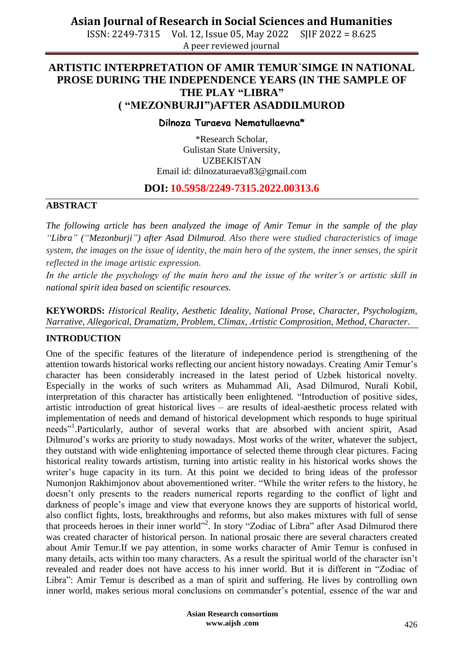ISSN: 2249-7315 Vol. 12, Issue 05, May 2022 SJIF 2022 = 8.625 A peer reviewed journal

## **ARTISTIC INTERPRETATION OF AMIR TEMUR`SIMGE IN NATIONAL PROSE DURING THE INDEPENDENCE YEARS (IN THE SAMPLE OF THE PLAY "LIBRA" ( "MEZONBURJI")AFTER ASADDILMUROD**

#### **Dilnoza Turaeva Nematullaevna\***

\*Research Scholar, Gulistan State University, **UZBEKISTAN** Email id: [dilnozaturaeva83@gmail.com](mailto:dilnozaturaeva83@gmail.com)

#### **DOI: 10.5958/2249-7315.2022.00313.6**

#### **ABSTRACT**

*The following article has been analyzed the image of Amir Temur in the sample of the play "Libra" ("Mezonburji") after Asad Dilmurod. Also there were studied characteristics of image system, the images on the issue of identity, the main hero of the system, the inner senses, the spirit reflected in the image artistic expression.*

*In the article the psychology of the main hero and the issue of the writer's or artistic skill in national spirit idea based on scientific resources.* 

**KEYWORDS:** *Нistorical Reality, Aesthetic Ideality, National Prose, Character, Psychologizm, Narrative, Allegorical, Dramatizm, Problem, Climax, Аrtistic Comprosition, Method, Character*.

#### **INTRODUCTION**

One of the specific features of the literature of independence period is strengthening of the attention towards historical works reflecting our ancient history nowadays. Creating Amir Temur's character has been considerably increased in the latest period of Uzbek historical novelty. Especially in the works of such writers as Muhammad Ali, Asad Dilmurod, Nurali Kobil, interpretation of this character has artistically been enlightened. "Introduction of positive sides, artistic introduction of great historical lives – are results of ideal-aesthetic process related with implementation of needs and demand of historical development which responds to huge spiritual needs"<sup>1</sup>.Particularly, author of several works that are absorbed with ancient spirit, Asad Dilmurod's works are priority to study nowadays. Most works of the writer, whatever the subject, they outstand with wide enlightening importance of selected theme through clear pictures. Facing historical reality towards artistism, turning into artistic reality in his historical works shows the writer's huge capacity in its turn. At this point we decided to bring ideas of the professor Numonjon Rakhimjonov about abovementioned writer. "While the writer refers to the history, he doesn't only presents to the readers numerical reports regarding to the conflict of light and darkness of people's image and view that everyone knows they are supports of historical world, also conflict fights, losts, breakthroughs and reforms, but also makes mixtures with full of sense that proceeds heroes in their inner world"<sup>2</sup>. In story "Zodiac of Libra" after Asad Dilmurod there was created character of historical person. In national prosaic there are several characters created about Amir Temur.If we pay attention, in some works character of Amir Temur is confused in many details, acts within too many characters. As a result the spiritual world of the character isn't revealed and reader does not have access to his inner world. But it is different in "Zodiac of Libra": Amir Temur is described as a man of spirit and suffering. He lives by controlling own inner world, makes serious moral conclusions on commander's potential, essence of the war and

> **Asian Research consortium www.aijsh .com**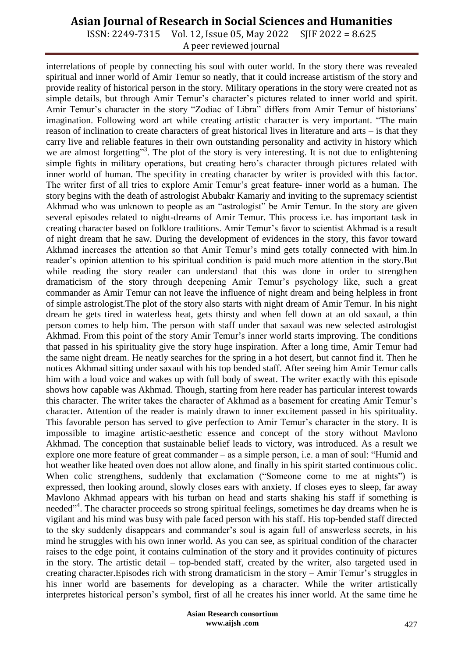ISSN: 2249-7315 Vol. 12, Issue 05, May 2022 SJIF 2022 = 8.625 A peer reviewed journal

interrelations of people by connecting his soul with outer world. In the story there was revealed spiritual and inner world of Amir Temur so neatly, that it could increase artistism of the story and provide reality of historical person in the story. Military operations in the story were created not as simple details, but through Amir Temur's character's pictures related to inner world and spirit. Amir Temur's character in the story "Zodiac of Libra" differs from Amir Temur of historians' imagination. Following word art while creating artistic character is very important. "The main reason of inclination to create characters of great historical lives in literature and arts – is that they carry live and reliable features in their own outstanding personality and activity in history which we are almost forgetting"<sup>3</sup>. The plot of the story is very interesting. It is not due to enlightening simple fights in military operations, but creating hero's character through pictures related with inner world of human. The specifity in creating character by writer is provided with this factor. The writer first of all tries to explore Amir Temur's great feature- inner world as a human. The story begins with the death of astrologist Abubakr Kamariy and inviting to the supremacy scientist Akhmad who was unknown to people as an "astrologist" be Amir Temur. In the story are given several episodes related to night-dreams of Amir Temur. This process i.e. has important task in creating character based on folklore traditions. Amir Temur's favor to scientist Akhmad is a result of night dream that he saw. During the development of evidences in the story, this favor toward Akhmad increases the attention so that Amir Temur's mind gets totally connected with him.In reader's opinion attention to his spiritual condition is paid much more attention in the story.But while reading the story reader can understand that this was done in order to strengthen dramaticism of the story through deepening Amir Temur's psychology like, such a great commander as Amir Temur can not leave the influence of night dream and being helpless in front of simple astrologist.The plot of the story also starts with night dream of Amir Temur. In his night dream he gets tired in waterless heat, gets thirsty and when fell down at an old saxaul, a thin person comes to help him. The person with staff under that saxaul was new selected astrologist Akhmad. From this point of the story Amir Temur's inner world starts improving. The conditions that passed in his spirituality give the story huge inspiration. After a long time, Amir Temur had the same night dream. He neatly searches for the spring in a hot desert, but cannot find it. Then he notices Akhmad sitting under saxaul with his top bended staff. After seeing him Amir Temur calls him with a loud voice and wakes up with full body of sweat. The writer exactly with this episode shows how capable was Akhmad. Though, starting from here reader has particular interest towards this character. The writer takes the character of Akhmad as a basement for creating Amir Temur's character. Attention of the reader is mainly drawn to inner excitement passed in his spirituality. This favorable person has served to give perfection to Amir Temur's character in the story. It is impossible to imagine artistic-aesthetic essence and concept of the story without Mavlono Akhmad. The conception that sustainable belief leads to victory, was introduced. As a result we explore one more feature of great commander – as a simple person, i.e. a man of soul: "Humid and hot weather like heated oven does not allow alone, and finally in his spirit started continuous colic. When colic strengthens, suddenly that exclamation ("Someone come to me at nights") is expressed, then looking around, slowly closes ears with anxiety. If closes eyes to sleep, far away Mavlono Akhmad appears with his turban on head and starts shaking his staff if something is needed<sup>"4</sup>. The character proceeds so strong spiritual feelings, sometimes he day dreams when he is vigilant and his mind was busy with pale faced person with his staff. His top-bended staff directed to the sky suddenly disappears and commander's soul is again full of answerless secrets, in his mind he struggles with his own inner world. As you can see, as spiritual condition of the character raises to the edge point, it contains culmination of the story and it provides continuity of pictures in the story. The artistic detail – top-bended staff, created by the writer, also targeted used in creating character.Episodes rich with strong dramaticism in the story – Amir Temur's struggles in his inner world are basements for developing as a character. While the writer artistically interpretes historical person's symbol, first of all he creates his inner world. At the same time he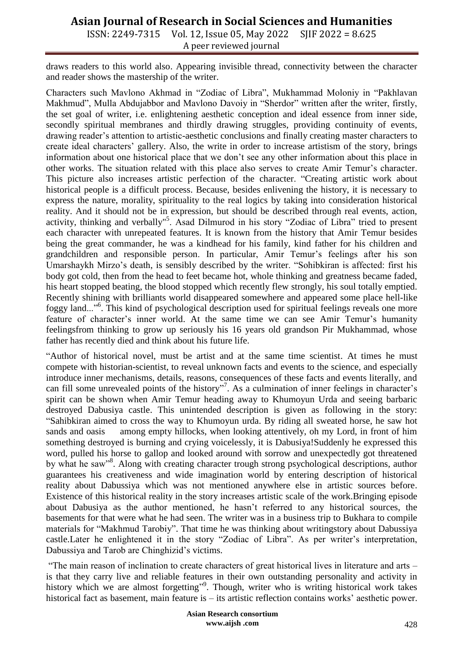ISSN: 2249-7315 Vol. 12, Issue 05, May 2022 SJIF 2022 = 8.625 A peer reviewed journal

draws readers to this world also. Appearing invisible thread, connectivity between the character and reader shows the mastership of the writer.

Characters such Mavlono Akhmad in "Zodiac of Libra", Mukhammad Moloniy in "Pakhlavan Makhmud", Mulla Abdujabbor and Mavlono Davoiy in "Sherdor" written after the writer, firstly, the set goal of writer, i.e. enlightening aesthetic conception and ideal essence from inner side, secondly spiritual membranes and thirdly drawing struggles, providing continuity of events, drawing reader's attention to artistic-aesthetic conclusions and finally creating master characters to create ideal characters' gallery. Also, the write in order to increase artistism of the story, brings information about one historical place that we don't see any other information about this place in other works. The situation related with this place also serves to create Amir Temur's character. This picture also increases artistic perfection of the character. "Creating artistic work about historical people is a difficult process. Because, besides enlivening the history, it is necessary to express the nature, morality, spirituality to the real logics by taking into consideration historical reality. And it should not be in expression, but should be described through real events, action, activity, thinking and verbally"<sup>5</sup>. Asad Dilmurod in his story "Zodiac of Libra" tried to present each character with unrepeated features. It is known from the history that Amir Temur besides being the great commander, he was a kindhead for his family, kind father for his children and grandchildren and responsible person. In particular, Amir Temur's feelings after his son Umarshaykh Mirzo's death, is sensibly described by the writer. "Sohibkiran is affected: first his body got cold, then from the head to feet became hot, whole thinking and greatness became faded, his heart stopped beating, the blood stopped which recently flew strongly, his soul totally emptied. Recently shining with brilliants world disappeared somewhere and appeared some place hell-like foggy land..."<sup>6</sup> . This kind of psychological description used for spiritual feelings reveals one more feature of character's inner world. At the same time we can see Amir Temur's humanity feelingsfrom thinking to grow up seriously his 16 years old grandson Pir Mukhammad, whose father has recently died and think about his future life.

"Author of historical novel, must be artist and at the same time scientist. At times he must compete with historian-scientist, to reveal unknown facts and events to the science, and especially introduce inner mechanisms, details, reasons, consequences of these facts and events literally, and can fill some unrevealed points of the history"<sup>7</sup>. As a culmination of inner feelings in character's spirit can be shown when Amir Temur heading away to Khumoyun Urda and seeing barbaric destroyed Dabusiya castle. This unintended description is given as following in the story: "Sahibkiran aimed to cross the way to Khumoyun urda. By riding all sweated horse, he saw hot sands and oasis among empty hillocks, when looking attentively, oh my Lord, in front of him something destroyed is burning and crying voicelessly, it is Dabusiya!Suddenly he expressed this word, pulled his horse to gallop and looked around with sorrow and unexpectedly got threatened by what he saw"<sup>8</sup>. Along with creating character trough strong psychological descriptions, author guarantees his creativeness and wide imagination world by entering description of historical reality about Dabussiya which was not mentioned anywhere else in artistic sources before. Existence of this historical reality in the story increases artistic scale of the work.Bringing episode about Dabusiya as the author mentioned, he hasn't referred to any historical sources, the basements for that were what he had seen. The writer was in a business trip to Bukhara to compile materials for "Makhmud Tarobiy". That time he was thinking about writingstory about Dabussiya castle.Later he enlightened it in the story "Zodiac of Libra". As per writer's interpretation, Dabussiya and Tarob are Chinghizid's victims.

"The main reason of inclination to create characters of great historical lives in literature and arts – is that they carry live and reliable features in their own outstanding personality and activity in history which we are almost forgetting"<sup>9</sup>. Though, writer who is writing historical work takes historical fact as basement, main feature is – its artistic reflection contains works' aesthetic power.